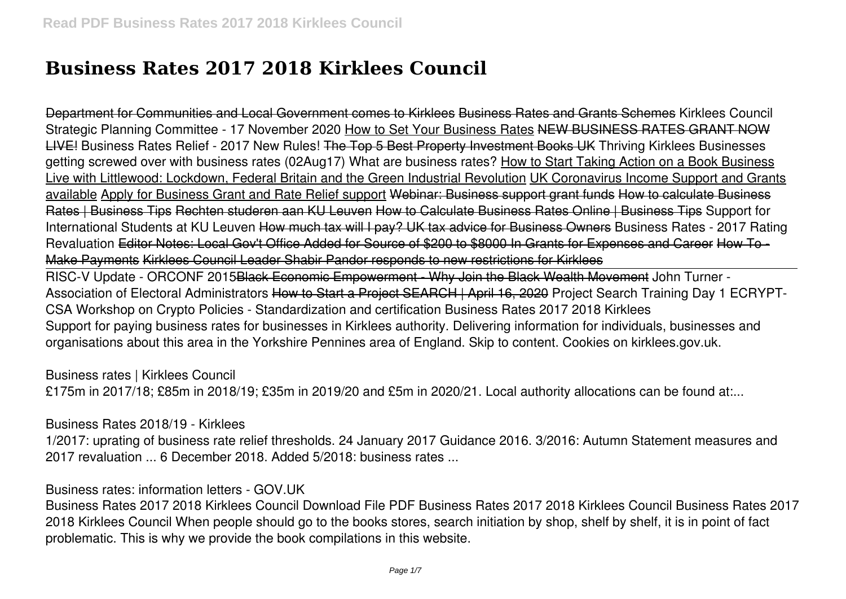# **Business Rates 2017 2018 Kirklees Council**

Department for Communities and Local Government comes to Kirklees Business Rates and Grants Schemes Kirklees Council Strategic Planning Committee - 17 November 2020 How to Set Your Business Rates NEW BUSINESS RATES GRANT NOW LIVE! **Business Rates Relief - 2017 New Rules!** The Top 5 Best Property Investment Books UK **Thriving Kirklees** Businesses getting screwed over with business rates (02Aug17) **What are business rates?** How to Start Taking Action on a Book Business Live with Littlewood: Lockdown, Federal Britain and the Green Industrial Revolution UK Coronavirus Income Support and Grants available Apply for Business Grant and Rate Relief support Webinar: Business support grant funds How to calculate Business Rates | Business Tips Rechten studeren aan KU Leuven How to Calculate Business Rates Online | Business Tips **Support for International Students at KU Leuven** How much tax will I pay? UK tax advice for Business Owners Business Rates - 2017 Rating Revaluation Editor Notes: Local Gov't Office Added for Source of \$200 to \$8000 In Grants for Expenses and Career How To - Make Payments Kirklees Council Leader Shabir Pandor responds to new restrictions for Kirklees

RISC-V Update - ORCONF 2015Black Economic Empowerment - Why Join the Black Wealth Movement **John Turner - Association of Electoral Administrators** How to Start a Project SEARCH | April 16, 2020 *Project Search Training Day 1 ECRYPT-CSA Workshop on Crypto Policies - Standardization and certification Business Rates 2017 2018 Kirklees* Support for paying business rates for businesses in Kirklees authority. Delivering information for individuals, businesses and organisations about this area in the Yorkshire Pennines area of England. Skip to content. Cookies on kirklees.gov.uk.

*Business rates | Kirklees Council*

£175m in 2017/18; £85m in 2018/19; £35m in 2019/20 and £5m in 2020/21. Local authority allocations can be found at:...

*Business Rates 2018/19 - Kirklees*

1/2017: uprating of business rate relief thresholds. 24 January 2017 Guidance 2016. 3/2016: Autumn Statement measures and 2017 revaluation ... 6 December 2018. Added 5/2018: business rates ...

*Business rates: information letters - GOV.UK*

Business Rates 2017 2018 Kirklees Council Download File PDF Business Rates 2017 2018 Kirklees Council Business Rates 2017 2018 Kirklees Council When people should go to the books stores, search initiation by shop, shelf by shelf, it is in point of fact problematic. This is why we provide the book compilations in this website.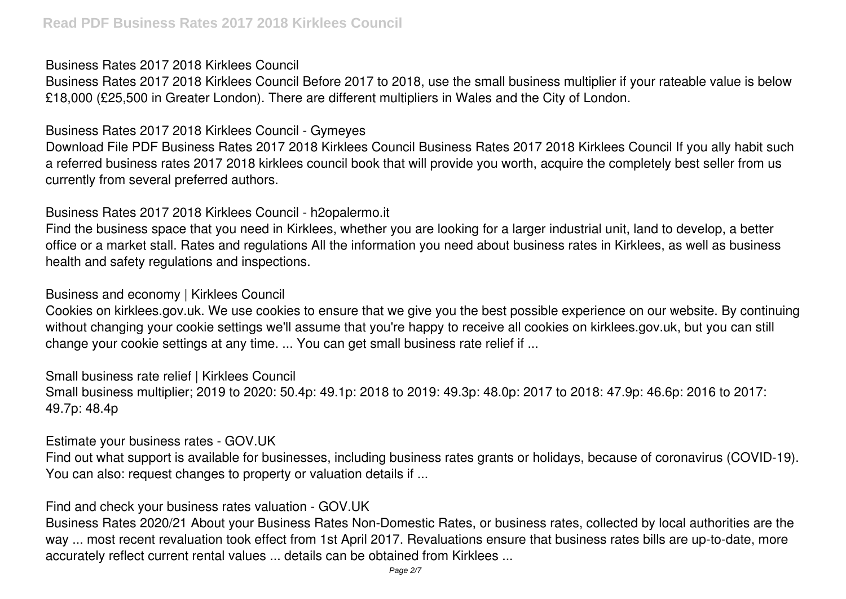## *Business Rates 2017 2018 Kirklees Council*

Business Rates 2017 2018 Kirklees Council Before 2017 to 2018, use the small business multiplier if your rateable value is below £18,000 (£25,500 in Greater London). There are different multipliers in Wales and the City of London.

## *Business Rates 2017 2018 Kirklees Council - Gymeyes*

Download File PDF Business Rates 2017 2018 Kirklees Council Business Rates 2017 2018 Kirklees Council If you ally habit such a referred business rates 2017 2018 kirklees council book that will provide you worth, acquire the completely best seller from us currently from several preferred authors.

# *Business Rates 2017 2018 Kirklees Council - h2opalermo.it*

Find the business space that you need in Kirklees, whether you are looking for a larger industrial unit, land to develop, a better office or a market stall. Rates and regulations All the information you need about business rates in Kirklees, as well as business health and safety regulations and inspections.

# *Business and economy | Kirklees Council*

Cookies on kirklees.gov.uk. We use cookies to ensure that we give you the best possible experience on our website. By continuing without changing your cookie settings we'll assume that you're happy to receive all cookies on kirklees.gov.uk, but you can still change your cookie settings at any time. ... You can get small business rate relief if ...

*Small business rate relief | Kirklees Council* Small business multiplier; 2019 to 2020: 50.4p: 49.1p: 2018 to 2019: 49.3p: 48.0p: 2017 to 2018: 47.9p: 46.6p: 2016 to 2017: 49.7p: 48.4p

# *Estimate your business rates - GOV.UK*

Find out what support is available for businesses, including business rates grants or holidays, because of coronavirus (COVID-19). You can also: request changes to property or valuation details if ...

# *Find and check your business rates valuation - GOV.UK*

Business Rates 2020/21 About your Business Rates Non-Domestic Rates, or business rates, collected by local authorities are the way ... most recent revaluation took effect from 1st April 2017. Revaluations ensure that business rates bills are up-to-date, more accurately reflect current rental values ... details can be obtained from Kirklees ...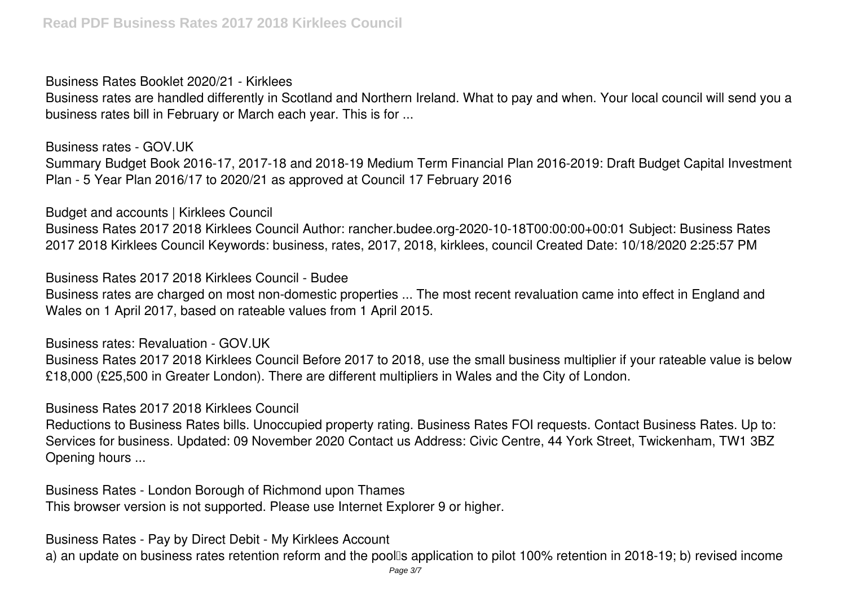*Business Rates Booklet 2020/21 - Kirklees*

Business rates are handled differently in Scotland and Northern Ireland. What to pay and when. Your local council will send you a business rates bill in February or March each year. This is for ...

*Business rates - GOV.UK* Summary Budget Book 2016-17, 2017-18 and 2018-19 Medium Term Financial Plan 2016-2019: Draft Budget Capital Investment Plan - 5 Year Plan 2016/17 to 2020/21 as approved at Council 17 February 2016

*Budget and accounts | Kirklees Council*

Business Rates 2017 2018 Kirklees Council Author: rancher.budee.org-2020-10-18T00:00:00+00:01 Subject: Business Rates 2017 2018 Kirklees Council Keywords: business, rates, 2017, 2018, kirklees, council Created Date: 10/18/2020 2:25:57 PM

*Business Rates 2017 2018 Kirklees Council - Budee*

Business rates are charged on most non-domestic properties ... The most recent revaluation came into effect in England and Wales on 1 April 2017, based on rateable values from 1 April 2015.

*Business rates: Revaluation - GOV.UK*

Business Rates 2017 2018 Kirklees Council Before 2017 to 2018, use the small business multiplier if your rateable value is below £18,000 (£25,500 in Greater London). There are different multipliers in Wales and the City of London.

*Business Rates 2017 2018 Kirklees Council*

Reductions to Business Rates bills. Unoccupied property rating. Business Rates FOI requests. Contact Business Rates. Up to: Services for business. Updated: 09 November 2020 Contact us Address: Civic Centre, 44 York Street, Twickenham, TW1 3BZ Opening hours ...

*Business Rates - London Borough of Richmond upon Thames* This browser version is not supported. Please use Internet Explorer 9 or higher.

*Business Rates - Pay by Direct Debit - My Kirklees Account*

a) an update on business rates retention reform and the poolls application to pilot 100% retention in 2018-19; b) revised income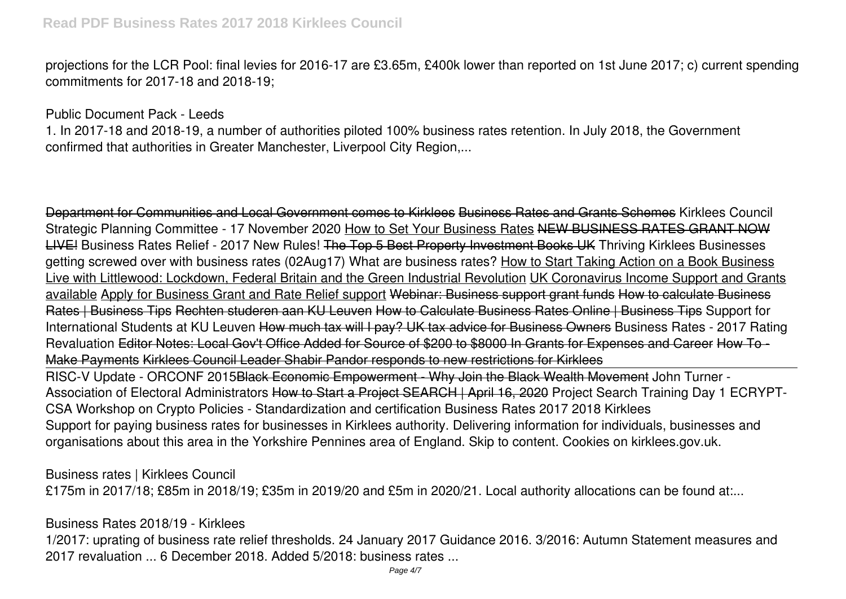## **Read PDF Business Rates 2017 2018 Kirklees Council**

projections for the LCR Pool: final levies for 2016-17 are £3.65m, £400k lower than reported on 1st June 2017; c) current spending commitments for 2017-18 and 2018-19;

#### *Public Document Pack - Leeds*

1. In 2017-18 and 2018-19, a number of authorities piloted 100% business rates retention. In July 2018, the Government confirmed that authorities in Greater Manchester, Liverpool City Region,...

Department for Communities and Local Government comes to Kirklees Business Rates and Grants Schemes Kirklees Council Strategic Planning Committee - 17 November 2020 How to Set Your Business Rates NEW BUSINESS RATES GRANT NOW LIVE! **Business Rates Relief - 2017 New Rules!** The Top 5 Best Property Investment Books UK **Thriving Kirklees** Businesses getting screwed over with business rates (02Aug17) **What are business rates?** How to Start Taking Action on a Book Business Live with Littlewood: Lockdown, Federal Britain and the Green Industrial Revolution UK Coronavirus Income Support and Grants available Apply for Business Grant and Rate Relief support Webinar: Business support grant funds How to calculate Business Rates | Business Tips Rechten studeren aan KU Leuven How to Calculate Business Rates Online | Business Tips **Support for International Students at KU Leuven** How much tax will I pay? UK tax advice for Business Owners Business Rates - 2017 Rating Revaluation Editor Notes: Local Gov't Office Added for Source of \$200 to \$8000 In Grants for Expenses and Career How To - Make Payments Kirklees Council Leader Shabir Pandor responds to new restrictions for Kirklees RISC-V Update - ORCONF 2015Black Economic Empowerment - Why Join the Black Wealth Movement **John Turner -**

**Association of Electoral Administrators** How to Start a Project SEARCH | April 16, 2020 *Project Search Training Day 1 ECRYPT-CSA Workshop on Crypto Policies - Standardization and certification Business Rates 2017 2018 Kirklees* Support for paying business rates for businesses in Kirklees authority. Delivering information for individuals, businesses and organisations about this area in the Yorkshire Pennines area of England. Skip to content. Cookies on kirklees.gov.uk.

*Business rates | Kirklees Council*

£175m in 2017/18; £85m in 2018/19; £35m in 2019/20 and £5m in 2020/21. Local authority allocations can be found at:...

*Business Rates 2018/19 - Kirklees*

1/2017: uprating of business rate relief thresholds. 24 January 2017 Guidance 2016. 3/2016: Autumn Statement measures and 2017 revaluation ... 6 December 2018. Added 5/2018: business rates ...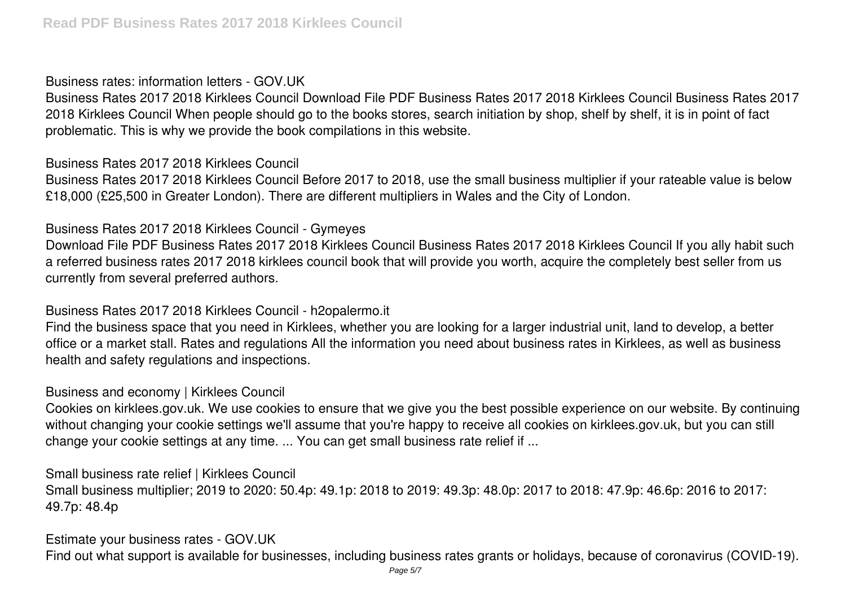## *Business rates: information letters - GOV.UK*

Business Rates 2017 2018 Kirklees Council Download File PDF Business Rates 2017 2018 Kirklees Council Business Rates 2017 2018 Kirklees Council When people should go to the books stores, search initiation by shop, shelf by shelf, it is in point of fact problematic. This is why we provide the book compilations in this website.

# *Business Rates 2017 2018 Kirklees Council*

Business Rates 2017 2018 Kirklees Council Before 2017 to 2018, use the small business multiplier if your rateable value is below £18,000 (£25,500 in Greater London). There are different multipliers in Wales and the City of London.

# *Business Rates 2017 2018 Kirklees Council - Gymeyes*

Download File PDF Business Rates 2017 2018 Kirklees Council Business Rates 2017 2018 Kirklees Council If you ally habit such a referred business rates 2017 2018 kirklees council book that will provide you worth, acquire the completely best seller from us currently from several preferred authors.

# *Business Rates 2017 2018 Kirklees Council - h2opalermo.it*

Find the business space that you need in Kirklees, whether you are looking for a larger industrial unit, land to develop, a better office or a market stall. Rates and regulations All the information you need about business rates in Kirklees, as well as business health and safety regulations and inspections.

# *Business and economy | Kirklees Council*

Cookies on kirklees.gov.uk. We use cookies to ensure that we give you the best possible experience on our website. By continuing without changing your cookie settings we'll assume that you're happy to receive all cookies on kirklees.gov.uk, but you can still change your cookie settings at any time. ... You can get small business rate relief if ...

*Small business rate relief | Kirklees Council* Small business multiplier; 2019 to 2020: 50.4p: 49.1p: 2018 to 2019: 49.3p: 48.0p: 2017 to 2018: 47.9p: 46.6p: 2016 to 2017: 49.7p: 48.4p

*Estimate your business rates - GOV.UK* Find out what support is available for businesses, including business rates grants or holidays, because of coronavirus (COVID-19).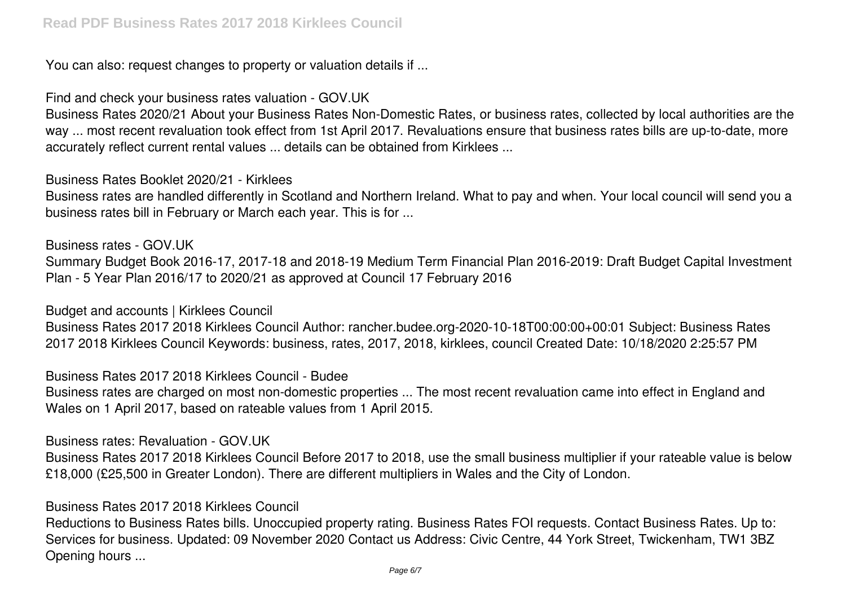You can also: request changes to property or valuation details if ...

*Find and check your business rates valuation - GOV.UK*

Business Rates 2020/21 About your Business Rates Non-Domestic Rates, or business rates, collected by local authorities are the way ... most recent revaluation took effect from 1st April 2017. Revaluations ensure that business rates bills are up-to-date, more accurately reflect current rental values ... details can be obtained from Kirklees ...

*Business Rates Booklet 2020/21 - Kirklees*

Business rates are handled differently in Scotland and Northern Ireland. What to pay and when. Your local council will send you a business rates bill in February or March each year. This is for ...

*Business rates - GOV.UK*

Summary Budget Book 2016-17, 2017-18 and 2018-19 Medium Term Financial Plan 2016-2019: Draft Budget Capital Investment Plan - 5 Year Plan 2016/17 to 2020/21 as approved at Council 17 February 2016

*Budget and accounts | Kirklees Council*

Business Rates 2017 2018 Kirklees Council Author: rancher.budee.org-2020-10-18T00:00:00+00:01 Subject: Business Rates 2017 2018 Kirklees Council Keywords: business, rates, 2017, 2018, kirklees, council Created Date: 10/18/2020 2:25:57 PM

*Business Rates 2017 2018 Kirklees Council - Budee*

Business rates are charged on most non-domestic properties ... The most recent revaluation came into effect in England and Wales on 1 April 2017, based on rateable values from 1 April 2015.

*Business rates: Revaluation - GOV.UK*

Business Rates 2017 2018 Kirklees Council Before 2017 to 2018, use the small business multiplier if your rateable value is below £18,000 (£25,500 in Greater London). There are different multipliers in Wales and the City of London.

## *Business Rates 2017 2018 Kirklees Council*

Reductions to Business Rates bills. Unoccupied property rating. Business Rates FOI requests. Contact Business Rates. Up to: Services for business. Updated: 09 November 2020 Contact us Address: Civic Centre, 44 York Street, Twickenham, TW1 3BZ Opening hours ...